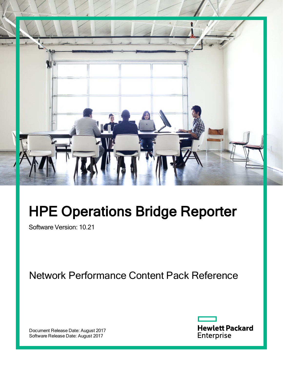

# HPE Operations Bridge Reporter

Software Version: 10.21

Network Performance Content Pack Reference

Document Release Date: August 2017 Software Release Date: August 2017

**Hewlett Packard** Enterprise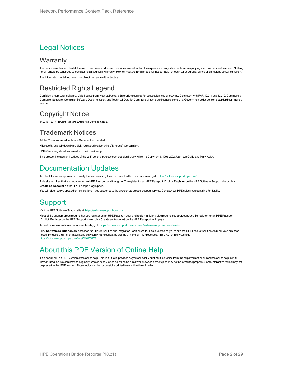### Legal Notices

### **Warranty**

The only warranties for Hewlett Packard Enterprise products and services are set forth in the express warranty statements accompanying such products and services. Nothing herein should be construed as constituting an additional warranty. Hewlett Packard Enterprise shall not be liable for technical or editorial errors or omissions contained herein. The information contained herein is subject to change without notice.

### Restricted Rights Legend

Confidential computer software. Valid license from Hewlett Packard Enterprise required for possession, use or copying. Consistent with FAR 12.211 and 12.212, Commercial Computer Software, Computer Software Documentation, and Technical Data for Commercial Items are licensed to the U.S. Government under vendor's standard commercial license.

### Copyright Notice

© 2015 - 2017 Hewlett Packard Enterprise Development LP

### Trademark Notices

Adobe™ is a trademark of Adobe Systems Incorporated. Microsoft® and Windows® are U.S. registered trademarks of Microsoft Corporation. UNIX® is a registered trademark of The Open Group. This product includes an interface of the 'zlib' general purpose compression library, which is Copyright © 1995-2002 Jean-loup Gailly and Mark Adler.

### Documentation Updates

To check for recent updates or to verify that you are using the most recent edition of a document, go to: <https://softwaresupport.hpe.com/>.

This site requires that you register for an HPE Passport and to sign in. To register for an HPE Passport ID, click **Register** on the HPE Software Support site or click **Create an Account** on the HPE Passport login page.

You will also receive updated or new editions if you subscribe to the appropriate product support service. Contact your HPE sales representative for details.

### Support

Visit the HPE Software Support site at: <https://softwaresupport.hpe.com/>.

Most of the support areas require that you register as an HPE Passport user and to sign in. Many also require a support contract. To register for an HPE Passport ID, click **Register** on the HPE Support site or click **Create an Account** on the HPE Passport login page.

To find more information about access levels, go to: <https://softwaresupport.hpe.com/web/softwaresupport/access-levels>.

**HPE Software Solutions Now** accesses the HPSW Solution and Integration Portal website. This site enables you to explore HPE Product Solutions to meet your business needs, includes a full list of Integrations between HPE Products, as well as a listing of ITIL Processes. The URL for this website is https://softwaresupport.hpe.com/km/KM01702731

### About this PDF Version of Online Help

This document is a PDF version of the online help. This PDF file is provided so you can easily print multiple topics from the help information or read the online help in PDF format. Because this content was originally created to be viewed as online help in a web browser, some topics may not be formatted properly. Some interactive topics may not be present in this PDF version. Those topics can be successfully printed from within the online help.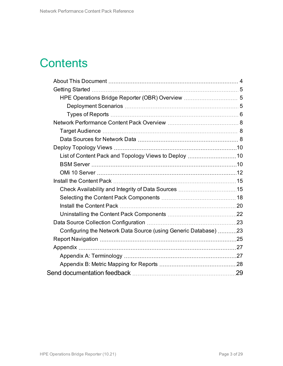## **Contents**

| HPE Operations Bridge Reporter (OBR) Overview  5                |  |
|-----------------------------------------------------------------|--|
|                                                                 |  |
|                                                                 |  |
|                                                                 |  |
|                                                                 |  |
|                                                                 |  |
|                                                                 |  |
|                                                                 |  |
|                                                                 |  |
|                                                                 |  |
|                                                                 |  |
|                                                                 |  |
|                                                                 |  |
|                                                                 |  |
|                                                                 |  |
|                                                                 |  |
| Configuring the Network Data Source (using Generic Database) 23 |  |
|                                                                 |  |
|                                                                 |  |
|                                                                 |  |
|                                                                 |  |
|                                                                 |  |
|                                                                 |  |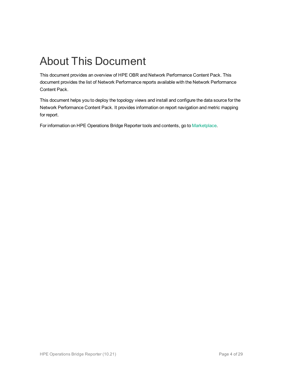## <span id="page-3-0"></span>About This Document

This document provides an overview of HPE OBR and Network Performance Content Pack. This document provides the list of Network Performance reports available with the Network Performance Content Pack.

This document helps you to deploy the topology views and install and configure the data source for the Network Performance Content Pack. It provides information on report navigation and metric mapping for report.

For information on HPE Operations Bridge Reporter tools and contents, go to [Marketplace.](https://marketplace.saas.hpe.com/itom/category/all?product=Operations%20Bridge%20Reporter&version=All%20versions&company=All%20companies)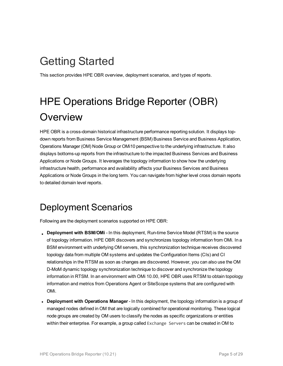# <span id="page-4-0"></span>Getting Started

<span id="page-4-1"></span>This section provides HPE OBR overview, deployment scenarios, and types of reports.

# HPE Operations Bridge Reporter (OBR) **Overview**

HPE OBR is a cross-domain historical infrastructure performance reporting solution. It displays topdown reports from Business Service Management (BSM) Business Service and Business Application, Operations Manager (OM) Node Group or OMi10 perspective to the underlying infrastructure. It also displays bottoms-up reports from the infrastructure to the impacted Business Services and Business Applications or Node Groups. It leverages the topology information to show how the underlying infrastructure health, performance and availability affects your Business Services and Business Applications or Node Groups in the long term. You can navigate from higher level cross domain reports to detailed domain level reports.

### <span id="page-4-2"></span>Deployment Scenarios

Following are the deployment scenarios supported on HPE OBR:

- **Deployment with BSM/OMi** In this deployment, Run-time Service Model (RTSM) is the source of topology information. HPE OBR discovers and synchronizes topology information from OMi. In a BSM environment with underlying OM servers, this synchronization technique receives discovered topology data from multiple OM systems and updates the Configuration Items (CIs) and CI relationships in the RTSM as soon as changes are discovered. However, you can also use the OM D-MoM dynamic topology synchronization technique to discover and synchronize the topology information in RTSM. In an environment with OMi 10.00, HPE OBR uses RTSM to obtain topology information and metrics from Operations Agent or SiteScope systems that are configured with OMi.
- Deployment with Operations Manager In this deployment, the topology information is a group of managed nodes defined in OM that are logically combined for operational monitoring. These logical node groups are created by OM users to classify the nodes as specific organizations or entities within their enterprise. For example, a group called Exchange Servers can be created in OM to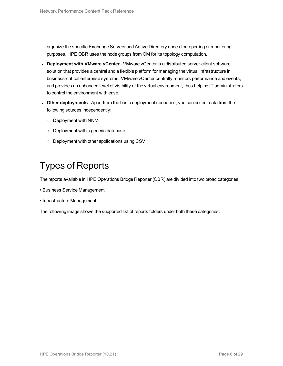organize the specific Exchange Servers and Active Directory nodes for reporting or monitoring purposes. HPE OBR uses the node groups from OM for its topology computation.

- <sup>l</sup> **Deployment with VMware vCenter** VMware vCenter is a distributed server-client software solution that provides a central and a flexible platform for managing the virtual infrastructure in business-critical enterprise systems. VMware vCenter centrally monitors performance and events, and provides an enhanced level of visibility of the virtual environment, thus helping IT administrators to control the environment with ease.
- <sup>l</sup> **Other deployments** Apart from the basic deployment scenarios, you can collect data from the following sources independently:
	- <sup>o</sup> Deployment with NNMi
	- <sup>o</sup> Deployment with a generic database
	- <sup>o</sup> Deployment with other applications using CSV

### <span id="page-5-0"></span>Types of Reports

The reports available in HPE Operations Bridge Reporter (OBR) are divided into two broad categories:

- Business Service Management
- Infrastructure Management

The following image shows the supported list of reports folders under both these categories: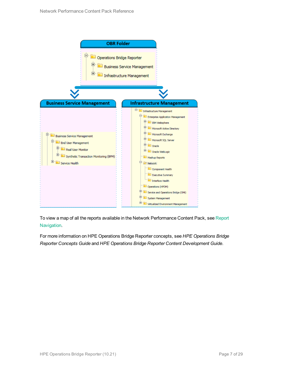

To view a map of all the reports available in the Network Performance Content Pack, see [Report](#page-24-0) [Navigation.](#page-24-0)

For more information on HPE Operations Bridge Reporter concepts, see *HPE Operations Bridge Reporter Concepts Guide* and *HPE Operations Bridge Reporter Content Development Guide*.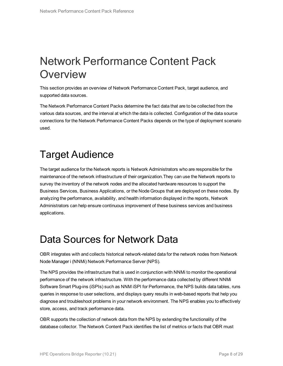## <span id="page-7-0"></span>Network Performance Content Pack **Overview**

This section provides an overview of Network Performance Content Pack, target audience, and supported data sources.

The Network Performance Content Packs determine the fact data that are to be collected from the various data sources, and the interval at which the data is collected. Configuration of the data source connections for the Network Performance Content Packs depends on the type of deployment scenario used.

## <span id="page-7-1"></span>Target Audience

The target audience for the Network reports is Network Administrators who are responsible for the maintenance of the network infrastructure of their organization.They can use the Network reports to survey the inventory of the network nodes and the allocated hardware resources to support the Business Services, Business Applications, or the Node Groups that are deployed on these nodes. By analyzing the performance, availability, and health information displayed in the reports, Network Administrators can help ensure continuous improvement of these business services and business applications.

### <span id="page-7-2"></span>Data Sources for Network Data

OBR integrates with and collects historical network-related data for the network nodes from Network Node Manager i (NNMi) Network Performance Server (NPS).

The NPS provides the infrastructure that is used in conjunction with NNMi to monitor the operational performance of the network infrastructure. With the performance data collected by different NNMi Software Smart Plug-ins (iSPIs) such as NNM iSPI for Performance, the NPS builds data tables, runs queries in response to user selections, and displays query results in web-based reports that help you diagnose and troubleshoot problems in your network environment. The NPS enables you to effectively store, access, and track performance data.

OBR supports the collection of network data from the NPS by extending the functionality of the database collector. The Network Content Pack identifies the list of metrics or facts that OBR must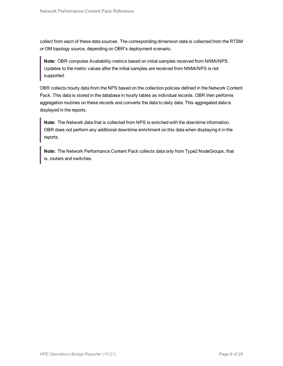collect from each of these data sources. The corresponding dimension data is collected from the RTSM or OM topology source, depending on OBR's deployment scenario.

**Note:** OBR computes Availability metrics based on initial samples received from NNMi/NPS. Updates to the metric values after the initial samples are received from NNMi/NPS is not supported.

OBR collects hourly data from the NPS based on the collection policies defined in the Network Content Pack. This data is stored in the database in hourly tables as individual records. OBR then performs aggregation routines on these records and converts the data to daily data. This aggregated data is displayed in the reports.

**Note:** The Network data that is collected from NPS is enriched with the downtime information. OBR does not perform any additional downtime enrichment on this data when displaying it in the reports.

**Note:** The Network Performance Content Pack collects data only from Type2 NodeGroups, that is, routers and switches.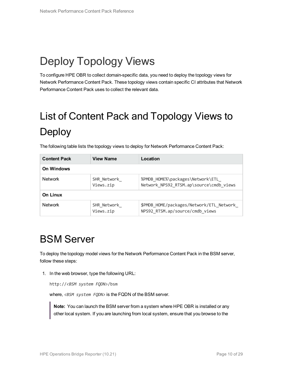# <span id="page-9-0"></span>Deploy Topology Views

<span id="page-9-1"></span>To configure HPE OBR to collect domain-specific data, you need to deploy the topology views for Network Performance Content Pack. These topology views contain specific CI attributes that Network Performance Content Pack uses to collect the relevant data.

# <span id="page-9-3"></span>List of Content Pack and Topology Views to Deploy

| <b>Content Pack</b>                        | <b>View Name</b> | Location                                                                    |
|--------------------------------------------|------------------|-----------------------------------------------------------------------------|
| On Windows                                 |                  |                                                                             |
| <b>Network</b><br>SHR Network<br>Views.zip |                  | %PMDB HOME%\packages\Network\ETL<br>Network NPS92 RTSM.ap\source\cmdb views |
| On Linux                                   |                  |                                                                             |
| <b>Network</b><br>SHR Network<br>Views.zip |                  | \$PMDB HOME/packages/Network/ETL Network<br>NPS92 RTSM.ap/source/cmdb_views |

The following table lists the topology views to deploy for Network Performance Content Pack:

### <span id="page-9-2"></span>BSM Server

To deploy the topology model views for the Network Performance Content Pack in the BSM server, follow these steps:

1. In the web browser, type the following URL:

http://*<BSM system FQDN>*/bsm

where, <BSM system FQDN> is the FQDN of the BSM server.

**Note:** You can launch the BSM server from a system where HPE OBR is installed or any other local system. If you are launching from local system, ensure that you browse to the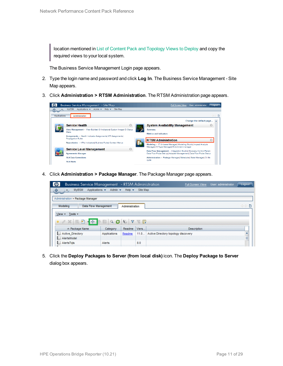location mentioned in List of Content Pack and [Topology](#page-9-3) Views to Deploy and copy the required views to your local system.

The Business Service Management Login page appears.

- 2. Type the login name and password and click **Log In**. The Business Service Management Site Map appears.
- 3. Click **Administration > RTSM Administration**. The RTSM Administration page appears.



4. Click **Administration > Package Manager**. The Package Manager page appears.



5. Click the **Deploy Packages to Server (from local disk)** icon. The **Deploy Package to Server** dialog box appears.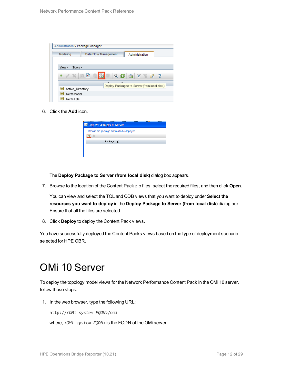| Administration > Package Manager |                                             |
|----------------------------------|---------------------------------------------|
| Modeling                         | Data Flow Management<br>Administration      |
|                                  |                                             |
| Tools $\sim$<br>View -           |                                             |
| $+ 0 x 0$                        | 圃<br>$Q G$ a $V$<br>-?<br>W.                |
| Active Directory                 | Deploy Packages to Server (from local disk) |
| 뜵<br><b>AlertsModel</b>          |                                             |
| AlertsTals                       |                                             |

6. Click the **Add** icon.

| Package(zip) | Choose the package zip files to be deployed |
|--------------|---------------------------------------------|

The **Deploy Package to Server (from local disk)** dialog box appears.

7. Browse to the location of the Content Pack zip files, select the required files, and then click **Open**.

You can view and select the TQL and ODB views that you want to deploy under **Select the resources you want to deploy** in the **Deploy Package to Server (from local disk)** dialog box. Ensure that all the files are selected.

8. Click **Deploy** to deploy the Content Pack views.

<span id="page-11-0"></span>You have successfully deployed the Content Packs views based on the type of deployment scenario selected for HPE OBR.

### OMi 10 Server

To deploy the topology model views for the Network Performance Content Pack in the OMi 10 server, follow these steps:

1. In the web browser, type the following URL:

http://*<OMi system FQDN>*/omi

where, *<OMi system FQDN>* is the FQDN of the OMi server.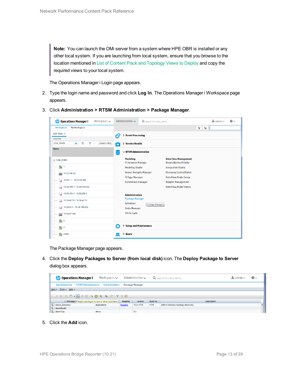**Note:** You can launch the OMi server from a system where HPE OBR is installed or any other local system. If you are launching from local system, ensure that you browse to the location mentioned in List of Content Pack and [Topology](#page-9-3) Views to Deploy and copy the required views to your local system.

The Operations Manager i Login page appears.

- 2. Type the login name and password and click **Log In**. The Operations Manager i Workspace page appears.
- 3. Click **Administration > RTSM Administration > Package Manager**.

| <b>Operations Manager i</b><br>Workspaces $\smile$                       | Administration $\sim$                               | Q search for menu items | $\Delta$ admin $\sim$                                         | $\bullet$ |  |
|--------------------------------------------------------------------------|-----------------------------------------------------|-------------------------|---------------------------------------------------------------|-----------|--|
| Workspaces > My Workspace                                                |                                                     |                         |                                                               | V<br>E    |  |
| 360° View x                                                              | <b>Event Processing</b><br>ł9                       |                         |                                                               |           |  |
| Hierarchy                                                                |                                                     |                         |                                                               |           |  |
| EUM_BSMR<br>È<br>Y<br>[Select a Filter]<br>v.<br>$\overline{\mathbb{Y}}$ | ô<br>> Service Health                               |                         |                                                               |           |  |
| Name                                                                     | $\sim$ RTSM Administration                          |                         |                                                               |           |  |
| E EUM_BSMR                                                               | <b>Modeling</b><br><b>IT Universe Manager</b>       |                         | <b>Data Flow Management</b><br><b>Reconciliation Priority</b> |           |  |
| $\bigcirc$ 1                                                             | <b>Modeling Studio</b>                              |                         | <b>Integration Studio</b>                                     |           |  |
| Ë<br>16.55.245.42                                                        | <b>Impact Analysis Manager</b>                      |                         | <b>Discovery Control Panel</b>                                |           |  |
| $\bullet$ 16.59.1.1 - 16.59.50.255                                       | <b>CI Type Manager</b><br><b>Enrichment manager</b> |                         |                                                               |           |  |
| $\bigotimes$ 16.59.101.1 - 16.59.150.255                                 |                                                     |                         | <b>Data Flow Probe Status</b>                                 |           |  |
| $\bigotimes$ 16.59.151.1 - 16.59.255.1                                   | <b>Administration</b>                               |                         |                                                               |           |  |
| $\bigcirc$ 16.59.42.70 - 16.59.42.70                                     | <b>Package Manager</b>                              |                         |                                                               |           |  |
| $\bigotimes$ 16.59.51.1 - 16.59.100.255                                  | Scheduler<br><b>State Manager</b>                   |                         |                                                               |           |  |
| 16.59.67.149<br>Ë                                                        | <b>CI Life Cycle</b>                                |                         |                                                               |           |  |
| $\left[ \bigcirc \right]$ 2                                              |                                                     |                         |                                                               |           |  |
| $\bigcirc$ 4                                                             | ٥<br>> Setup and Maintenance                        |                         |                                                               |           |  |
| $\bullet$<br>Active                                                      | > Users<br>22                                       |                         |                                                               |           |  |

The Package Manager page appears.

4. Click the **Deploy Packages to Server (from local disk)** icon. The **Deploy Package to Server** dialog box appears.

| <b><i>OD</i></b> Operations Manager i                   | Workspaces $\sim$                                                                                                                                                                                                                                                                                                                                                                                                                                                                                                                     |        | Administration $\sim$ |          | Q search for menu items             | $\blacktriangle$ r admin $\blacktriangleright$ | $\odot$ |  |  |  |
|---------------------------------------------------------|---------------------------------------------------------------------------------------------------------------------------------------------------------------------------------------------------------------------------------------------------------------------------------------------------------------------------------------------------------------------------------------------------------------------------------------------------------------------------------------------------------------------------------------|--------|-----------------------|----------|-------------------------------------|------------------------------------------------|---------|--|--|--|
|                                                         | Administration > RTSM Administration > Administration ><br>Package Manager                                                                                                                                                                                                                                                                                                                                                                                                                                                            |        |                       |          |                                     |                                                |         |  |  |  |
| View $\star$ Tools $\star$ Help $\star$                 |                                                                                                                                                                                                                                                                                                                                                                                                                                                                                                                                       |        |                       |          |                                     |                                                |         |  |  |  |
|                                                         | $* \angle \times \boxed{0} \quad \Rightarrow \quad \text{if} \quad \text{if} \quad \text{if} \quad \text{if} \quad \text{if} \quad \text{if} \quad \text{if} \quad \text{if} \quad \text{if} \quad \text{if} \quad \text{if} \quad \text{if} \quad \text{if} \quad \text{if} \quad \text{if} \quad \text{if} \quad \text{if} \quad \text{if} \quad \text{if} \quad \text{if} \quad \text{if} \quad \text{if} \quad \text{if} \quad \text{if} \quad \text{if} \quad \text{if} \quad \text{if} \quad \text{if} \quad \text{if} \quad \$ |        |                       |          |                                     |                                                |         |  |  |  |
| ≐ Package N Deploy packages to server (from local disk) |                                                                                                                                                                                                                                                                                                                                                                                                                                                                                                                                       | Readme | Version               | Build Nu | <b>Description</b>                  |                                                |         |  |  |  |
| Active_Directory                                        | Applications                                                                                                                                                                                                                                                                                                                                                                                                                                                                                                                          | Readme | 13.0-1179             | 1179     | Active Directory topology discovery |                                                |         |  |  |  |
| AlertsModel                                             |                                                                                                                                                                                                                                                                                                                                                                                                                                                                                                                                       |        |                       |          |                                     |                                                |         |  |  |  |
| AlertsTqls                                              | Alerts                                                                                                                                                                                                                                                                                                                                                                                                                                                                                                                                |        | 8.0                   |          |                                     |                                                |         |  |  |  |

5. Click the **Add** icon.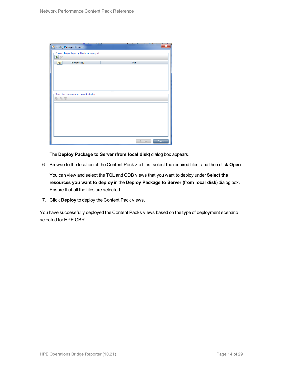| Deploy Packages to Server                   |                  | $\overline{\mathbf{x}}$ |
|---------------------------------------------|------------------|-------------------------|
| Choose the package zip files to be deployed |                  |                         |
| 壘<br>$\chi$                                 |                  |                         |
| Package(zip)<br>Add                         | Path             |                         |
|                                             |                  |                         |
|                                             |                  |                         |
|                                             |                  |                         |
|                                             |                  |                         |
|                                             |                  |                         |
| Select the resources you want to deploy     |                  |                         |
| 名马路                                         |                  |                         |
|                                             |                  |                         |
|                                             |                  |                         |
|                                             |                  |                         |
|                                             |                  |                         |
|                                             |                  |                         |
|                                             |                  |                         |
|                                             |                  |                         |
|                                             | Deploy<br>Cancel |                         |

The **Deploy Package to Server (from local disk)** dialog box appears.

6. Browse to the location of the Content Pack zip files, select the required files, and then click **Open**.

You can view and select the TQL and ODB views that you want to deploy under **Select the resources you want to deploy** in the **Deploy Package to Server (from local disk)** dialog box. Ensure that all the files are selected.

7. Click **Deploy** to deploy the Content Pack views.

You have successfully deployed the Content Packs views based on the type of deployment scenario selected for HPE OBR.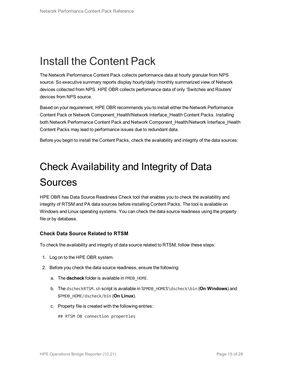## <span id="page-14-0"></span>Install the Content Pack

The Network Performance Content Pack collects performance data at hourly granular from NPS source. So executive summary reports display hourly/daily /monthly summarized view of Network devices collected from NPS. HPE OBR collects performance data of only 'Switches and Routers' devices from NPS source.

Based on your requirement, HPE OBR recommends you to install either the Network Performance Content Pack or Network Component\_Health/Network Interface\_Health Content Packs. Installing both Network Performance Content Pack and Network Component\_Health/Network Interface\_Health Content Packs may lead to performance issues due to redundant data.

<span id="page-14-1"></span>Before you begin to install the Content Packs, check the availability and integrity of the data sources:

# Check Availability and Integrity of Data **Sources**

HPE OBR has Data Source Readiness Check tool that enables you to check the availability and integrity of RTSM and PA data sources before installing Content Packs. The tool is available on Windows and Linux operating systems. You can check the data source readiness using the property file or by database.

#### **Check Data Source Related to RTSM**

To check the availability and integrity of data source related to RTSM, follow these steps:

- 1. Log on to the HPE OBR system.
- 2. Before you check the data source readiness, ensure the following:
	- a. The **dscheck** folder is available in PMDB\_HOME.
	- b. The dscheckRTSM.sh script is available in %PMDB\_HOME%\dscheck\bin (**On Windows**) and \$PMDB\_HOME/dscheck/bin (**On Linux**).
	- c. Property file is created with the following entries:

## RTSM DB connection properties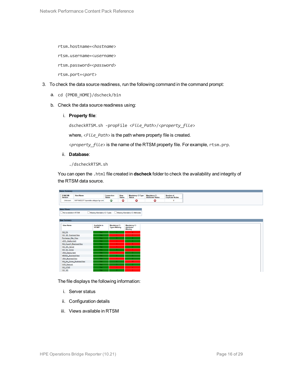rtsm.hostname=<*hostname*>

rtsm.username=<*username*>

rtsm.password=<*password*>

rtsm.port=<*port*>

- 3. To check the data source readiness, run the following command in the command prompt:
	- a. cd {PMDB\_HOME}/dscheck/bin
	- b. Check the data source readiness using:
		- i. **Property file**:

dscheckRTSM.sh -propFile <*File\_Path*>/<*property\_file*>

where,  $\langle$ File Path> is the path where property file is created.

<*property\_file*> is the name of the RTSM property file. For example, rtsm.prp.

ii. **Database**:

./dscheckRTSM.sh

You can open the .html file created in **dscheck** folder to check the availability and integrity of the RTSM data source.

| <b>Status Summary</b>            |                                   |                              |                                             |                       |                                           |                                                 |                                            |  |  |  |  |
|----------------------------------|-----------------------------------|------------------------------|---------------------------------------------|-----------------------|-------------------------------------------|-------------------------------------------------|--------------------------------------------|--|--|--|--|
| <b>BSM/OMi</b><br><b>Version</b> | <b>Host Name</b>                  |                              | Connection<br><b>Status</b>                 | View<br><b>Status</b> | <b>Mandatory CI Type</b><br><b>Status</b> | <b>Mandatory CI</b><br><b>Attributes Status</b> | <b>Number of</b><br><b>Duplicate Nodes</b> |  |  |  |  |
| Unknown                          | IWFVM02277.hpswlabs.adapps.hp.com |                              | Ø                                           | ☺                     | 0                                         | Q                                               | $\bf{0}$                                   |  |  |  |  |
|                                  |                                   |                              |                                             |                       |                                           |                                                 |                                            |  |  |  |  |
|                                  |                                   |                              |                                             |                       |                                           |                                                 |                                            |  |  |  |  |
| <b>Select Views:</b>             |                                   |                              |                                             |                       |                                           |                                                 |                                            |  |  |  |  |
| Not available in RTSM            |                                   | Missing Mandatory CI Types   |                                             |                       | Missing Mandatory CI Attributes           |                                                 |                                            |  |  |  |  |
|                                  |                                   |                              |                                             |                       |                                           |                                                 |                                            |  |  |  |  |
| <b>View Summary</b>              |                                   |                              |                                             |                       |                                           |                                                 |                                            |  |  |  |  |
|                                  |                                   |                              |                                             |                       |                                           |                                                 |                                            |  |  |  |  |
| <b>View Name</b>                 |                                   | <b>Available in</b><br>RTSM? | <b>Mandatory CI</b><br><b>Types Missing</b> |                       | <b>Mandatory CI</b><br><b>Attributes</b>  |                                                 |                                            |  |  |  |  |
|                                  |                                   |                              |                                             |                       | <b>Missing</b>                            |                                                 |                                            |  |  |  |  |
| SM_PA                            |                                   | Yes                          |                                             |                       | $\overline{\mathbf{A}}$                   |                                                 |                                            |  |  |  |  |
| SM SiS BusinessView              |                                   | <b>Yes</b>                   |                                             |                       |                                           |                                                 |                                            |  |  |  |  |
| Exchange Site View               |                                   | Yes                          |                                             |                       |                                           |                                                 |                                            |  |  |  |  |
| J2EE_Deployment                  |                                   | Yes                          |                                             |                       |                                           |                                                 |                                            |  |  |  |  |
| SM HyperV BusinessView           |                                   | <b>Yes</b>                   |                                             |                       |                                           |                                                 |                                            |  |  |  |  |
| <b>SM SiS Server</b>             |                                   | Yes                          |                                             |                       |                                           |                                                 |                                            |  |  |  |  |
| SM Sol Zones                     |                                   | Yes                          |                                             |                       |                                           |                                                 |                                            |  |  |  |  |
| <b>ORA</b> Deployment            |                                   | Yes                          |                                             |                       |                                           |                                                 |                                            |  |  |  |  |
| MSSQL_BusinessView               |                                   | <b>Yes</b>                   |                                             |                       |                                           |                                                 |                                            |  |  |  |  |
| ORA BusinessView                 |                                   | Yes                          |                                             |                       |                                           |                                                 |                                            |  |  |  |  |
|                                  | SM Sol Zones BusinessView         | Yes                          |                                             |                       | 12 <sub>1</sub>                           |                                                 |                                            |  |  |  |  |
| <b>SHR Network</b>               |                                   | <b>Yes</b>                   |                                             |                       | $\blacksquare$                            |                                                 |                                            |  |  |  |  |
| <b>SM LPAR</b>                   |                                   | Yes                          |                                             |                       |                                           |                                                 |                                            |  |  |  |  |
| SM SiS                           |                                   | Yes.                         |                                             |                       |                                           |                                                 |                                            |  |  |  |  |

The file displays the following information:

- i. Server status
- ii. Configuration details
- iii. Views available in RTSM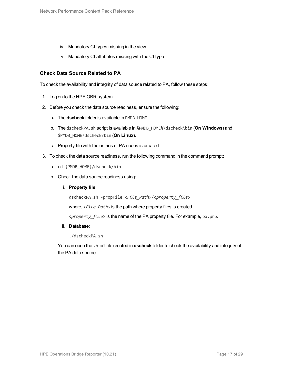- iv. Mandatory CI types missing in the view
- v. Mandatory CI attributes missing with the CI type

#### **Check Data Source Related to PA**

To check the availability and integrity of data source related to PA, follow these steps:

- 1. Log on to the HPE OBR system.
- 2. Before you check the data source readiness, ensure the following:
	- a. The **dscheck** folder is available in PMDB\_HOME.
	- b. The dscheckPA.sh script is available in %PMDB\_HOME%\dscheck\bin (**On Windows**) and \$PMDB\_HOME/dscheck/bin (**On Linux**).
	- c. Property file with the entries of PA nodes is created.
- 3. To check the data source readiness, run the following command in the command prompt:
	- a. cd {PMDB HOME}/dscheck/bin
	- b. Check the data source readiness using:
		- i. **Property file**:

dscheckPA.sh -propFile <*File\_Path*>/<*property\_file*>

where,  $\langle$ File Path> is the path where property files is created.

<*property\_file*> is the name of the PA property file. For example, pa.prp.

#### ii. **Database**:

./dscheckPA.sh

You can open the .html file created in **dscheck** folder to check the availability and integrity of the PA data source.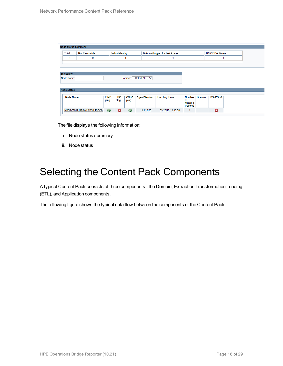|                    | <b>Node Status Summary</b> |                           |             |                       |             |                             |                                 |                                   |               |                        |  |
|--------------------|----------------------------|---------------------------|-------------|-----------------------|-------------|-----------------------------|---------------------------------|-----------------------------------|---------------|------------------------|--|
| <b>Total</b>       |                            | <b>Not Reachable</b>      |             | <b>Policy Missing</b> |             |                             | Data not logged for last 2 days |                                   |               | <b>DSi/CODA Status</b> |  |
|                    | 1                          | $\bf{0}$                  |             |                       | ┹           |                             | 1                               |                                   |               | ┹                      |  |
|                    |                            |                           |             |                       |             |                             |                                 |                                   |               |                        |  |
|                    |                            |                           |             |                       |             |                             |                                 |                                   |               |                        |  |
| Select any         |                            |                           |             |                       |             |                             |                                 |                                   |               |                        |  |
| Node Name:         |                            |                           |             |                       |             | Domains: -- Select All -- V |                                 |                                   |               |                        |  |
|                    |                            |                           |             |                       |             |                             |                                 |                                   |               |                        |  |
| <b>Node Status</b> |                            |                           |             |                       |             |                             |                                 |                                   |               |                        |  |
|                    | <b>Node Name</b>           |                           | <b>ICMP</b> | <b>BBC</b>            | <b>CODA</b> | <b>Agent Version</b>        | <b>Last Log Time</b>            | <b>Number</b>                     | <b>Domain</b> | <b>DSi/CODA</b>        |  |
|                    |                            |                           | ping        | ping                  | ping        |                             |                                 | <b>of</b>                         |               |                        |  |
|                    |                            |                           |             |                       |             |                             |                                 | <b>Missing</b><br><b>Policies</b> |               |                        |  |
|                    |                            | IWFMVS017.HPSWLABS.HP.COM | $\bullet$   | $\boldsymbol{\Omega}$ | $\bullet$   | 11.11.025                   | 09/28/15 13:38:00               |                                   |               | Q                      |  |

The file displays the following information:

- i. Node status summary
- ii. Node status

### <span id="page-17-0"></span>Selecting the Content Pack Components

A typical Content Pack consists of three components - the Domain, Extraction Transformation Loading (ETL), and Application components.

The following figure shows the typical data flow between the components of the Content Pack: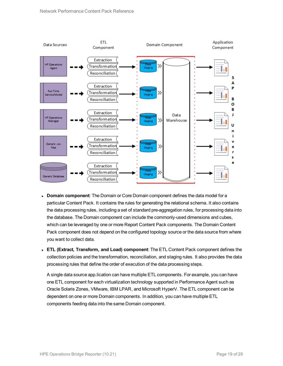

- **Domain component**: The Domain or Core Domain component defines the data model for a particular Content Pack. It contains the rules for generating the relational schema. It also contains the data processing rules, including a set of standard pre-aggregation rules, for processing data into the database. The Domain component can include the commonly-used dimensions and cubes, which can be leveraged by one or more Report Content Pack components. The Domain Content Pack component does not depend on the configured topology source or the data source from where you want to collect data.
- <sup>l</sup> **ETL (Extract, Transform, and Load) component**: The ETL Content Pack component defines the collection policies and the transformation, reconciliation, and staging rules. It also provides the data processing rules that define the order of execution of the data processing steps.

A single data source app.lication can have multiple ETL components. For example, you can have one ETL component for each virtualization technology supported in Performance Agent such as Oracle Solaris Zones, VMware, IBM LPAR, and Microsoft HyperV. The ETL component can be dependent on one or more Domain components. In addition, you can have multiple ETL components feeding data into the same Domain component.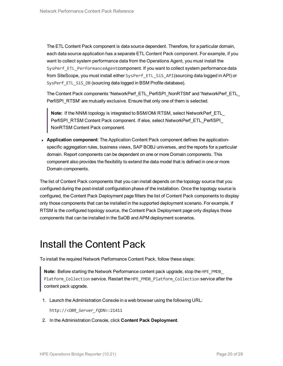The ETL Content Pack component is data source dependent. Therefore, for a particular domain, each data source application has a separate ETL Content Pack component. For example, if you want to collect system performance data from the Operations Agent, you must install the SysPerf\_ETL\_PerformanceAgentcomponent. If you want to collect system performance data from SiteScope, you must install either SysPerf\_ETL\_SiS\_API(sourcing data logged in API) or SysPerf\_ETL\_SiS\_DB (sourcing data logged in BSM Profile database).

The Content Pack components 'NetworkPerf\_ETL\_PerfiSPI\_NonRTSM' and 'NetworkPerf\_ETL\_ PerfiSPI\_RTSM' are mutually exclusive. Ensure that only one of them is selected.

**Note:** If the NNMi topology is integrated to BSM/OMi RTSM, select NetworkPerf\_ETL PerfiSPI\_RTSM Content Pack component. If else, select NetworkPerf\_ETL\_PerfiSPI NonRTSM Content Pack component.

**• Application component**: The Application Content Pack component defines the applicationspecific aggregation rules, business views, SAP BOBJ universes, and the reports for a particular domain. Report components can be dependent on one or more Domain components. This component also provides the flexibility to extend the data model that is defined in one or more Domain components.

The list of Content Pack components that you can install depends on the topology source that you configured during the post-install configuration phase of the installation. Once the topology source is configured, the Content Pack Deployment page filters the list of Content Pack components to display only those components that can be installed in the supported deployment scenario. For example, if RTSM is the configured topology source, the Content Pack Deployment page only displays those components that can be installed in the SaOB and APM deployment scenarios.

### <span id="page-19-0"></span>Install the Content Pack

To install the required Network Performance Content Pack, follow these steps:

**Note:** Before starting the Network Performance content pack upgrade, stop the HPE\_PMDB\_ Platform Collection service. Restart the HPE\_PMDB\_Platform Collection service after the content pack upgrade.

1. Launch the Administration Console in a web browser using the following URL:

http://*<OBR\_Server\_FQDN>*:21411

2. In the Administration Console, click **Content Pack Deployment**.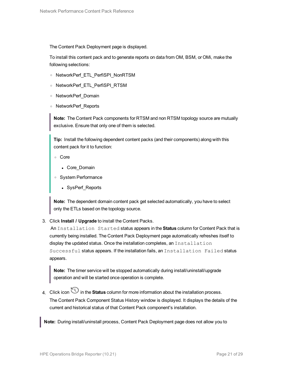The Content Pack Deployment page is displayed.

To install this content pack and to generate reports on data from OM, BSM, or OMi, make the following selections:

- <sup>o</sup> NetworkPerf\_ETL\_PerfiSPI\_NonRTSM
- <sup>o</sup> NetworkPerf\_ETL\_PerfiSPI\_RTSM
- <sup>o</sup> NetworkPerf\_Domain
- <sup>o</sup> NetworkPerf\_Reports

**Note:** The Content Pack components for RTSM and non RTSM topology source are mutually exclusive. Ensure that only one of them is selected.

**Tip:** Install the following dependent content packs (and their components) along with this content pack for it to function:

- <sup>o</sup> Core
	- Core\_Domain
- <sup>o</sup> System Performance
	- SysPerf\_Reports

**Note:** The dependent domain content pack get selected automatically, you have to select only the ETLs based on the topology source.

3. Click **Install / Upgrade** to install the Content Packs.

An Installation Started status appears in the **Status** column for Content Pack that is currently being installed. The Content Pack Deployment page automatically refreshes itself to display the updated status. Once the installation completes, an Installation Successful status appears. If the installation fails, an Installation Failed status appears.

**Note:** The timer service will be stopped automatically during install/uninstall/upgrade operation and will be started once operation is complete.

4. Click icon in the **Status** column for more information about the installation process. The Content Pack Component Status History window is displayed. It displays the details of the current and historical status of that Content Pack component's installation.

**Note:** During install/uninstall process, Content Pack Deployment page does not allow you to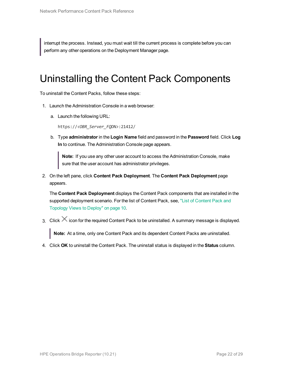<span id="page-21-0"></span>interrupt the process. Instead, you must wait till the current process is complete before you can perform any other operations on the Deployment Manager page.

### Uninstalling the Content Pack Components

To uninstall the Content Packs, follow these steps:

- 1. Launch the Administration Console in a web browser:
	- a. Launch the following URL:

https://*<OBR\_Server\_FQDN>*:21412/

b. Type **administrator** in the **Login Name** field and password in the **Password** field. Click **Log In** to continue. The Administration Console page appears.

**Note:** If you use any other user account to access the Administration Console, make sure that the user account has administrator privileges.

2. On the left pane, click **Content Pack Deployment**. The **Content Pack Deployment** page appears.

The **Content Pack Deployment** displays the Content Pack components that are installed in the supported deployment scenario. For the list of Content Pack, see, "List of [Content](#page-9-1) Pack and [Topology](#page-9-1) Views to Deploy" on page 10.

3. Click  $\times$  icon for the required Content Pack to be uninstalled. A summary message is displayed.

**Note:** At a time, only one Content Pack and its dependent Content Packs are uninstalled.

4. Click **OK** to uninstall the Content Pack. The uninstall status is displayed in the **Status** column.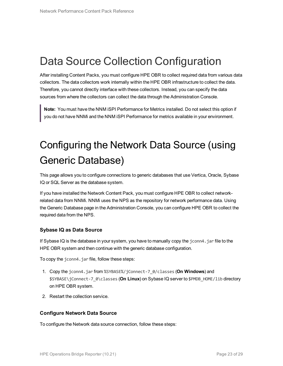## <span id="page-22-0"></span>Data Source Collection Configuration

After installing Content Packs, you must configure HPE OBR to collect required data from various data collectors. The data collectors work internally within the HPE OBR infrastructure to collect the data. Therefore, you cannot directly interface with these collectors. Instead, you can specify the data sources from where the collectors can collect the data through the Administration Console.

<span id="page-22-1"></span>**Note:** You must have the NNM iSPI Performance for Metrics installed. Do not select this option if you do not have NNMi and the NNM iSPI Performance for metrics available in your environment.

# Configuring the Network Data Source (using Generic Database)

This page allows you to configure connections to generic databases that use Vertica, Oracle, Sybase IQ or SQL Server as the database system.

If you have installed the Network Content Pack, you must configure HPE OBR to collect networkrelated data from NNMi. NNMi uses the NPS as the repository for network performance data. Using the Generic Database page in the Administration Console, you can configure HPE OBR to collect the required data from the NPS.

#### **Sybase IQ as Data Source**

If Sybase IQ is the database in your system, you have to manually copy the jconn4.jar file to the HPE OBR system and then continue with the generic database configuration.

To copy the jconn4.jar file, follow these steps:

- 1. Copy the jconn4.jar from %SYBASE%/jConnect-7\_0/classes (**On Windows**) and \$SYBASE\jConnect-7\_0\classes (**On Linux**) on Sybase IQ server to \$PMDB\_HOME/lib directory on HPE OBR system.
- 2. Restart the collection service.

#### **Configure Network Data Source**

To configure the Network data source connection, follow these steps: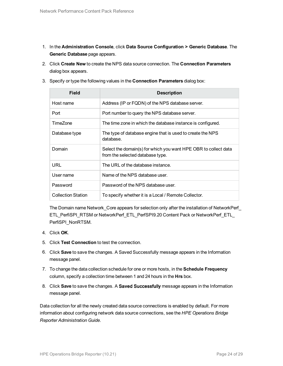- 1. In the **Administration Console**, click **Data Source Configuration > Generic Database**. The **Generic Database** page appears.
- 2. Click **Create New** to create the NPS data source connection. The **Connection Parameters** dialog box appears.
- 3. Specify or type the following values in the **Connection Parameters** dialog box:

| <b>Field</b>              | <b>Description</b>                                                                                  |
|---------------------------|-----------------------------------------------------------------------------------------------------|
| Host name                 | Address (IP or FQDN) of the NPS database server.                                                    |
| Port                      | Port number to query the NPS database server.                                                       |
| TimeZone                  | The time zone in which the database instance is configured.                                         |
| Database type             | The type of database engine that is used to create the NPS<br>database.                             |
| Domain                    | Select the domain(s) for which you want HPE OBR to collect data<br>from the selected database type. |
| URL                       | The URL of the database instance.                                                                   |
| User name                 | Name of the NPS database user.                                                                      |
| Password                  | Password of the NPS database user.                                                                  |
| <b>Collection Station</b> | To specify whether it is a Local / Remote Collector.                                                |

The Domain name Network\_Core appears for selection only after the installation of NetworkPerf\_ ETL\_PerfiSPI\_RTSM or NetworkPerf\_ETL\_PerfSPI9.20 Content Pack or NetworkPerf\_ETL\_ PerfiSPI\_NonRTSM.

- 4. Click **OK**.
- 5. Click **Test Connection** to test the connection.
- 6. Click **Save** to save the changes. A Saved Successfully message appears in the Information message panel.
- 7. To change the data collection schedule for one or more hosts, in the **Schedule Frequency** column, specify a collection time between 1 and 24 hours in the **Hrs** box.
- 8. Click **Save** to save the changes. A Saved Successfully message appears in the Information message panel.

Data collection for all the newly created data source connections is enabled by default. For more information about configuring network data source connections, see the *HPE Operations Bridge Reporter Administration Guide*.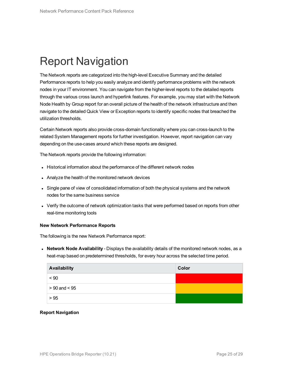## <span id="page-24-0"></span>Report Navigation

The Network reports are categorized into the high-level Executive Summary and the detailed Performance reports to help you easily analyze and identify performance problems with the network nodes in your IT environment. You can navigate from the higher-level reports to the detailed reports through the various cross launch and hyperlink features. For example, you may start with the Network Node Health by Group report for an overall picture of the health of the network infrastructure and then navigate to the detailed Quick View or Exception reports to identify specific nodes that breached the utilization thresholds.

Certain Network reports also provide cross-domain functionality where you can cross-launch to the related System Management reports for further investigation. However, report navigation can vary depending on the use-cases around which these reports are designed.

The Network reports provide the following information:

- Historical information about the performance of the different network nodes
- Analyze the health of the monitored network devices
- Single pane of view of consolidated information of both the physical systems and the network nodes for the same business service
- Verify the outcome of network optimization tasks that were performed based on reports from other real-time monitoring tools

#### **New Network Performance Reports**

The following is the new Network Performance report:

**Network Node Availability** - Displays the availability details of the monitored network nodes, as a heat-map based on predetermined thresholds, for every hour across the selected time period.

| Availability      | Color |
|-------------------|-------|
| ~< 90             |       |
| $> 90$ and $< 95$ |       |
| > 95              |       |

#### **Report Navigation**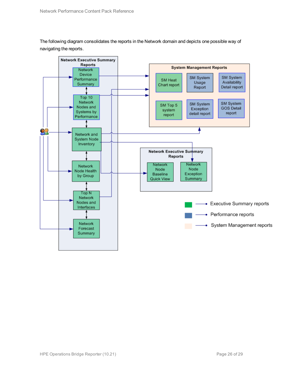The following diagram consolidates the reports in the Network domain and depicts one possible way of navigating the reports.

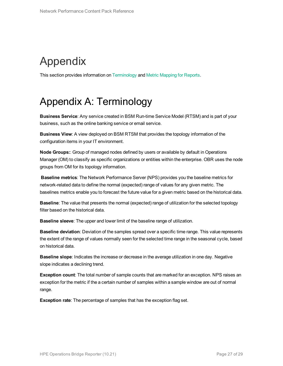# <span id="page-26-0"></span>Appendix

<span id="page-26-1"></span>This section provides information on [Terminology](#page-26-1) and Metric [Mapping](#page-27-0) for Reports.

## Appendix A: Terminology

**Business Service**: Any service created in BSM Run-time Service Model (RTSM) and is part of your business, such as the online banking service or email service.

**Business View**: A view deployed on BSM RTSM that provides the topology information of the configuration items in your IT environment.

**Node Groups:**: Group of managed nodes defined by users or available by default in Operations Manager (OM) to classify as specific organizations or entities within the enterprise. OBR uses the node groups from OM for its topology information.

**Baseline metrics**: The Network Performance Server (NPS) provides you the baseline metrics for network-related data to define the normal (expected) range of values for any given metric. The baselines metrics enable you to forecast the future value for a given metric based on the historical data.

**Baseline**: The value that presents the normal (expected) range of utilization for the selected topology filter based on the historical data.

**Baseline sleeve**: The upper and lower limit of the baseline range of utilization.

**Baseline deviation**: Deviation of the samples spread over a specific time range. This value represents the extent of the range of values normally seen for the selected time range in the seasonal cycle, based on historical data.

**Baseline slope**: Indicates the increase or decrease in the average utilization in one day. Negative slope indicates a declining trend.

**Exception count**: The total number of sample counts that are marked for an exception. NPS raises an exception for the metric if the a certain number of samples within a sample window are out of normal range.

**Exception rate**: The percentage of samples that has the exception flag set.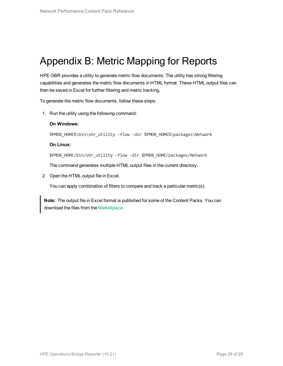### <span id="page-27-0"></span>Appendix B: Metric Mapping for Reports

HPE OBR provides a utility to generate metric flow documents. The utility has strong filtering capabilities and generates the metric flow documents in HTML format. These HTML output files can then be saved in Excel for further filtering and metric tracking.

To generate the metric flow documents, follow these steps:

1. Run the utility using the following command:

#### **On Windows:**

%PMDB\_HOME%\bin\shr\_utility -flow -dir %PMDB\_HOME%\packages\Network

#### **On Linux:**

\$PMDB\_HOME/bin/shr\_utility -flow -dir \$PMDB\_HOME/packages/Network

The command generates multiple HTML output files in the current directory.

2. Open the HTML output file in Excel.

You can apply combination of filters to compare and track a particular metric(s).

**Note:** The output file in Excel format is published for some of the Content Packs. You can download the files from the [Marketplace.](https://hpln.hp.com/node/24267/attachment)